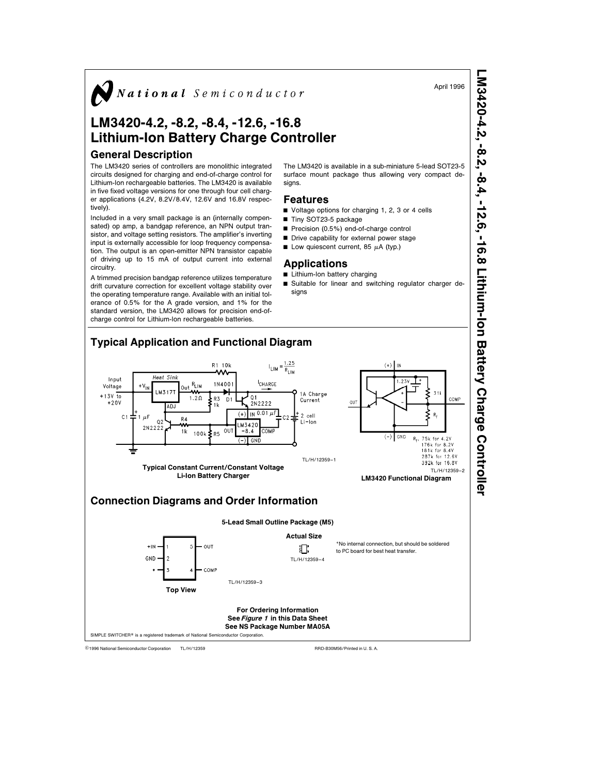

## LM3420-4.2, -8.2, -8.4, -12.6, -16.8 Lithium-Ion Battery Charge Controller

### General Description

The LM3420 series of controllers are monolithic integrated circuits designed for charging and end-of-charge control for Lithium-Ion rechargeable batteries. The LM3420 is available in five fixed voltage versions for one through four cell charger applications (4.2V, 8.2V/8.4V, 12.6V and 16.8V respectively).

Included in a very small package is an (internally compensated) op amp, a bandgap reference, an NPN output transistor, and voltage setting resistors. The amplifier's inverting input is externally accessible for loop frequency compensation. The output is an open-emitter NPN transistor capable of driving up to 15 mA of output current into external circuitry.

A trimmed precision bandgap reference utilizes temperature drift curvature correction for excellent voltage stability over the operating temperature range. Available with an initial tolerance of 0.5% for the A grade version, and 1% for the standard version, the LM3420 allows for precision end-ofcharge control for Lithium-Ion rechargeable batteries.

The LM3420 is available in a sub-miniature 5-lead SOT23-5 surface mount package thus allowing very compact designs.

#### Features

- Voltage options for charging 1, 2, 3 or 4 cells Tiny SOT23-5 package
- $\blacksquare$  Precision (0.5%) end-of-charge control
- Drive capability for external power stage
- U Low quiescent current, 85  $\mu$ A (typ.)

## Applications

- $\blacksquare$  Lithium-Ion battery charging
- Suitable for linear and switching regulator charger designs



TL/H/12359 C1996 National Semiconductor Corporation TL/H/12359 **C1996** National Semiconductor Corporation RRD-B30M56/Printed in U. S. A.

April 1996

LM3420-4.2,

-8.2, -8.4, -12.6, -16.8

Lithium-Ion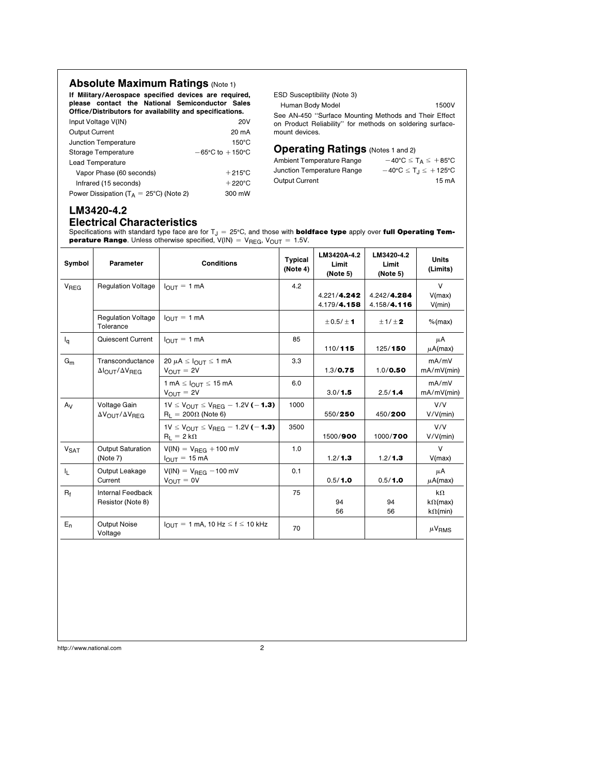## Absolute Maximum Ratings (Note 1)

If Military/Aerospace specified devices are required, please contact the National Semiconductor Sales Office/Distributors for availability and specifications.

| <b>Output Current</b>                              | 20 mA                               |
|----------------------------------------------------|-------------------------------------|
| Junction Temperature                               | $150^{\circ}$ C                     |
| Storage Temperature                                | $-65^{\circ}$ C to $+150^{\circ}$ C |
| Lead Temperature                                   |                                     |
| Vapor Phase (60 seconds)                           | $+215^{\circ}$ C                    |
| Infrared (15 seconds)                              | $+220^{\circ}$ C                    |
| Power Dissipation ( $T_A = 25^{\circ}$ C) (Note 2) | 300 mW                              |

ESD Susceptibility (Note 3)

Human Body Model 1500V

See AN-450 ''Surface Mounting Methods and Their Effect on Product Reliability'' for methods on soldering surfacemount devices.

# **Operating Ratings** (Notes 1 and 2)<br>Ambient Temperature Range  $-40^{\circ}$ C  $\leq$  1

| Ambient Temperature Range  | $-40^{\circ}$ C $\leq$ T <sub>A</sub> $\leq$ +85°C  |
|----------------------------|-----------------------------------------------------|
| Junction Temperature Range | $-40^{\circ}C \leq T_{\text{I}} \leq +125^{\circ}C$ |
| Output Current             | 15 mA                                               |

## LM3420-4.2 Electrical Characteristics

Specifications with standard type face are for  $T_J = 25^{\circ}$ C, and those with **boldface type** apply over full Operating Tem**perature Range**. Unless otherwise specified,  $V(IN) = V_{REG}$ ,  $V_{OUT} = 1.5V$ .

| Symbol                 | Parameter                                                         | <b>Conditions</b>                                                             | <b>Typical</b><br>(Note 4) | LM3420A-4.2<br>Limit<br>(Note 5) | LM3420-4.2<br>Limit<br>(Note 5) | <b>Units</b><br>(Limits)                        |
|------------------------|-------------------------------------------------------------------|-------------------------------------------------------------------------------|----------------------------|----------------------------------|---------------------------------|-------------------------------------------------|
| <b>V<sub>REG</sub></b> | <b>Regulation Voltage</b>                                         | $I_{\text{OUT}} = 1 \text{ mA}$                                               | 4.2                        | 4.221/4.242<br>4.179/4.158       | 4.242/4.284<br>4.158/4.116      | V<br>V(max)<br>V(min)                           |
|                        | <b>Regulation Voltage</b><br>Tolerance                            | $I_{\text{OUT}} = 1$ mA                                                       |                            | $\pm$ 0.5/ $\pm$ 1               | ±1/±2                           | $%$ (max)                                       |
| $I_q$                  | Quiescent Current                                                 | $I_{\text{OUT}} = 1 \text{ mA}$                                               | 85                         | 110/115                          | 125/150                         | μA<br>$\mu$ A(max)                              |
| $G_m$                  | Transconductance<br>$\Delta I_{\text{OUT}}/\Delta V_{\text{REG}}$ | 20 $\mu$ A $\leq$ $I_{\Omega I J T} \leq 1$ mA<br>$V_{\text{OUT}} = 2V$       | 3.3                        | 1.3 / 0.75                       | 1.0 / 0.50                      | mA/mV<br>mA/mV(min)                             |
|                        |                                                                   | 1 mA $\leq$ $I_{OUT} \leq$ 15 mA<br>$V_{\text{OUT}} = 2V$                     | 6.0                        | 3.0/1.5                          | 2.5/1.4                         | mA/mV<br>mA/mV(min)                             |
| $A_V$                  | Voltage Gain<br>$\Delta V_{\text{OUT}}/\Delta V_{\text{REG}}$     | $1V \le V_{OUT} \le V_{REG} - 1.2V$ (-1.3)<br>$R_L = 200 \Omega$ (Note 6)     | 1000                       | 550/250                          | 450/200                         | V/V<br>V/V(min)                                 |
|                        |                                                                   | $1V \le V_{OUT} \le V_{BFG} - 1.2V$ (-1.3)<br>$R_L = 2 k\Omega$               | 3500                       | 1500/900                         | 1000/700                        | V/V<br>V/V(min)                                 |
| <b>V<sub>SAT</sub></b> | <b>Output Saturation</b><br>(Note 7)                              | $V(1N) = V_{\text{REG}} + 100 \text{ mV}$<br>$I_{\text{OUT}} = 15 \text{ mA}$ | 1.0                        | 1.2 / 1.3                        | 1.2 / 1.3                       | $\vee$<br>V(max)                                |
| I <sub>L</sub>         | Output Leakage<br>Current                                         | $V(IN) = V_{REG} - 100$ mV<br>$V_{OUT} = 0V$                                  | 0.1                        | 0.5/1.0                          | 0.5/1.0                         | μA<br>$\mu$ A(max)                              |
| $R_f$                  | <b>Internal Feedback</b><br>Resistor (Note 8)                     |                                                                               | 75                         | 94<br>56                         | 94<br>56                        | $k\Omega$<br>$k\Omega$ (max)<br>$k\Omega$ (min) |
| $E_n$                  | Output Noise<br>Voltage                                           | $I_{\text{OUT}} = 1 \text{ mA}$ , 10 Hz $\leq f \leq 10 \text{ kHz}$          | 70                         |                                  |                                 | $\mu$ V <sub>RMS</sub>                          |
|                        |                                                                   |                                                                               |                            |                                  |                                 |                                                 |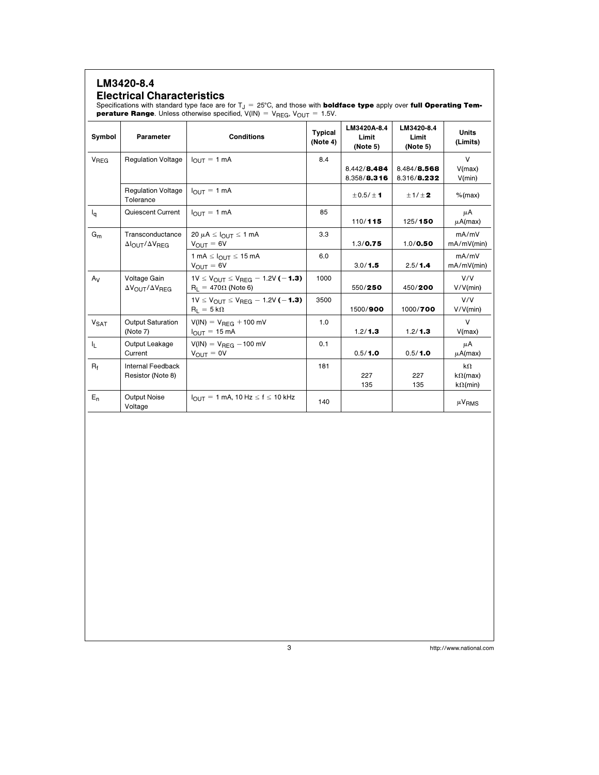## LM3420-8.4 Electrical Characteristics

Specifications with standard type face are for  $T_J = 25^{\circ}\text{C}$ , and those with **boldface type** apply over full Operating Tem**perature Range**. Unless otherwise specified,  $V(IN) = V_{REG}$ ,  $V_{OUT} = 1.5V$ .

| Symbol                 | Parameter                                                     | <b>Conditions</b>                                                                       | <b>Typical</b><br>(Note 4) | LM3420A-8.4<br>Limit<br>(Note 5) | LM3420-8.4<br>Limit<br>(Note 5) | <b>Units</b><br>(Limits)                        |
|------------------------|---------------------------------------------------------------|-----------------------------------------------------------------------------------------|----------------------------|----------------------------------|---------------------------------|-------------------------------------------------|
| <b>V<sub>REG</sub></b> | <b>Regulation Voltage</b>                                     | $I_{\text{OUT}} = 1 \text{ mA}$                                                         | 8.4                        | 8.442/8.484<br>8.358/8.316       | 8.484/8.568<br>8.316/8.232      | $\vee$<br>V(max)<br>V(min)                      |
|                        | <b>Regulation Voltage</b><br>Tolerance                        | $I_{\text{OUT}} = 1 \text{ mA}$                                                         |                            | $\pm$ 0.5/ $\pm$ 1               | ±1/±2                           | $%$ (max)                                       |
| $I_{\mathsf{q}}$       | Quiescent Current                                             | $I_{\text{OUT}} = 1 \text{ mA}$                                                         | 85                         | 110/115                          | 125/150                         | μA<br>$\mu$ A(max)                              |
| $G_m$                  | Transconductance<br>$\Delta$ OUT $\Delta$ VREG                | $20 \mu A \leq I_{\text{OUT}} \leq 1 \text{ mA}$<br>$V_{OUT} = 6V$                      | 3.3                        | 1.3 / 0.75                       | 1.0 / 0.50                      | mA/mV<br>mA/mV(min)                             |
|                        |                                                               | 1 mA $\leq$ $I_{OUT}$ $\leq$ 15 mA<br>$V_{OUT} = 6V$                                    | 6.0                        | 3.0 / 1.5                        | 2.5/1.4                         | mA/mV<br>$mA/mV$ (min)                          |
| $A_V$                  | Voltage Gain<br>$\Delta V_{\text{OUT}}/\Delta V_{\text{RFG}}$ | $1V \le V_{\text{OUT}} \le V_{\text{REG}} - 1.2V$ (-1.3)<br>$R_1 = 470 \Omega$ (Note 6) | 1000                       | 550/250                          | 450/200                         | V/V<br>V/V(min)                                 |
|                        |                                                               | $1V \le V_{OUT} \le V_{BFG} - 1.2V$ (-1.3)<br>$R_1 = 5 k\Omega$                         | 3500                       | 1500/900                         | 1000/700                        | V/V<br>V/V(min)                                 |
| <b>V<sub>SAT</sub></b> | <b>Output Saturation</b><br>(Note 7)                          | $V(IN) = V_{REG} + 100$ mV<br>$I_{OUT} = 15 \text{ mA}$                                 | 1.0                        | 1.2 / 1.3                        | 1.2 / 1.3                       | $\vee$<br>V(max)                                |
| 址                      | Output Leakage<br>Current                                     | $V(IN) = V_{REG} - 100$ mV<br>$V_{\text{OUT}} = 0V$                                     | 0.1                        | 0.5/1.0                          | 0.5/1.0                         | μA<br>$\mu$ A(max)                              |
| $R_f$                  | Internal Feedback<br>Resistor (Note 8)                        |                                                                                         | 181                        | 227<br>135                       | 227<br>135                      | $k\Omega$<br>$k\Omega$ (max)<br>$k\Omega$ (min) |
| $E_n$                  | <b>Output Noise</b><br>Voltage                                | $I_{\text{OUT}} = 1 \text{ mA}$ , 10 Hz $\leq f \leq 10 \text{ kHz}$                    | 140                        |                                  |                                 | $\mu$ V <sub>RMS</sub>                          |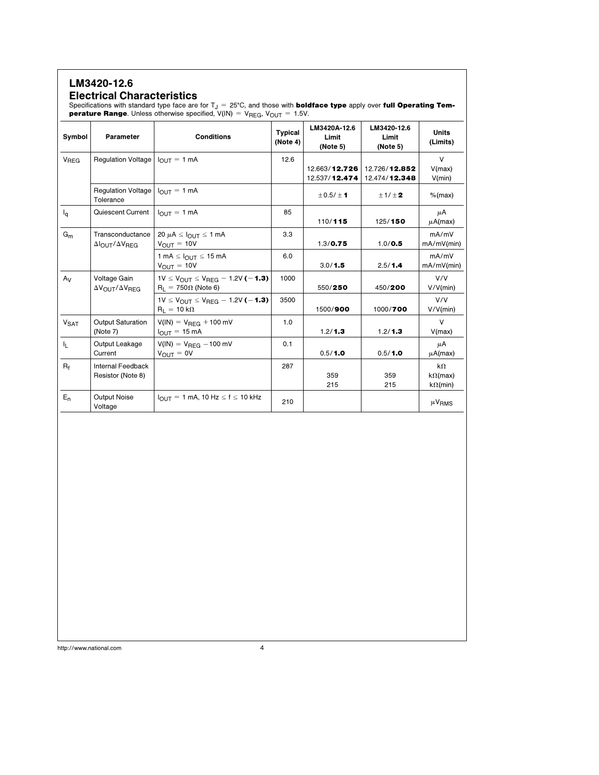## LM3420-12.6

### Electrical Characteristics

Specifications with standard type face are for  $T_J = 25^{\circ}$ C, and those with **boldface type** apply over full Operating Tem**perature Range**. Unless otherwise specified,  $V(IN) = V_{REG}$ ,  $V_{OUT} = 1.5V$ .

| Symbol           | Parameter                                               | <b>Conditions</b>                                                                                   | <b>Typical</b><br>(Note 4) | LM3420A-12.6<br>Limit<br>(Note 5) | LM3420-12.6<br>Limit<br>(Note 5) | <b>Units</b><br>(Limits)                        |
|------------------|---------------------------------------------------------|-----------------------------------------------------------------------------------------------------|----------------------------|-----------------------------------|----------------------------------|-------------------------------------------------|
| V <sub>REG</sub> | Regulation Voltage $ I_{OUTT}  = 1 mA$                  |                                                                                                     | 12.6                       | 12.663/12.726<br>12.537/12.474    | 12.726/12.852<br>12.474/12.348   | $\vee$<br>V(max)<br>V(min)                      |
|                  | Regulation Voltage<br>Tolerance                         | $I_{\text{OUT}} = 1 \text{ mA}$                                                                     |                            | ± 0.5/± 1                         | ±1/±2                            | $%$ (max)                                       |
| $I_{\mathbf{q}}$ | Quiescent Current                                       | $I_{\text{OUT}} = 1$ mA                                                                             | 85                         | 110/115                           | 125/150                          | μA<br>$\mu$ A(max)                              |
| $G_m$            | Transconductance<br>$\Delta$ OUT/ $\Delta$ VRFG         | 20 $\mu$ A $\leq$ $I_{\text{OUT}} \leq$ 1 mA<br>$V_{\text{OUT}} = 10V$                              | 3.3                        | 1.3 / 0.75                        | 1.0 / 0.5                        | mA/mV<br>mA/mV(min)                             |
|                  |                                                         | 1 mA $\leq$ $I_{OUT} \leq$ 15 mA<br>$V_{\text{OUT}} = 10V$                                          | 6.0                        | 3.0/1.5                           | 2.5/1.4                          | mA/mV<br>$mA/mV$ (min)                          |
| $A_V$            | Voltage Gain<br>$\Delta V_{\rm OUT}/\Delta V_{\rm REG}$ | $1V \le V_{OUT} \le V_{BFG} - 1.2V$ (-1.3)<br>$R_1 = 750 \Omega$ (Note 6)                           | 1000                       | 550/250                           | 450/200                          | V/V<br>V/V(min)                                 |
|                  |                                                         | 1V $\leq$ V <sub>OUT</sub> $\leq$ V <sub>RFG</sub> $-$ 1.2V ( $-$ <b>1.3)</b><br>$R_1 = 10 k\Omega$ | 3500                       | 1500/900                          | 1000/700                         | V/V<br>V/V(min)                                 |
| $V_{\text{SAT}}$ | <b>Output Saturation</b><br>(Note 7)                    | $V(1N) = V_{BFG} + 100$ mV<br>$I_{\text{OUT}} = 15 \,\text{mA}$                                     | 1.0                        | 1.2/1.3                           | 1.2/1.3                          | $\vee$<br>V(max)                                |
| $I_{L}$          | Output Leakage<br>Current                               | $V(1N) = V_{BFG} - 100$ mV<br>$V_{O I J T} = 0 V$                                                   | 0.1                        | 0.5/1.0                           | 0.5/1.0                          | μA<br>$\mu$ A(max)                              |
| $R_f$            | <b>Internal Feedback</b><br>Resistor (Note 8)           |                                                                                                     | 287                        | 359<br>215                        | 359<br>215                       | $k\Omega$<br>$k\Omega$ (max)<br>$k\Omega$ (min) |
| $E_n$            | <b>Output Noise</b><br>Voltage                          | $I_{\text{OUT}} = 1 \text{ mA}$ , 10 Hz $\leq f \leq 10 \text{ kHz}$                                | 210                        |                                   |                                  | $\mu$ V <sub>RMS</sub>                          |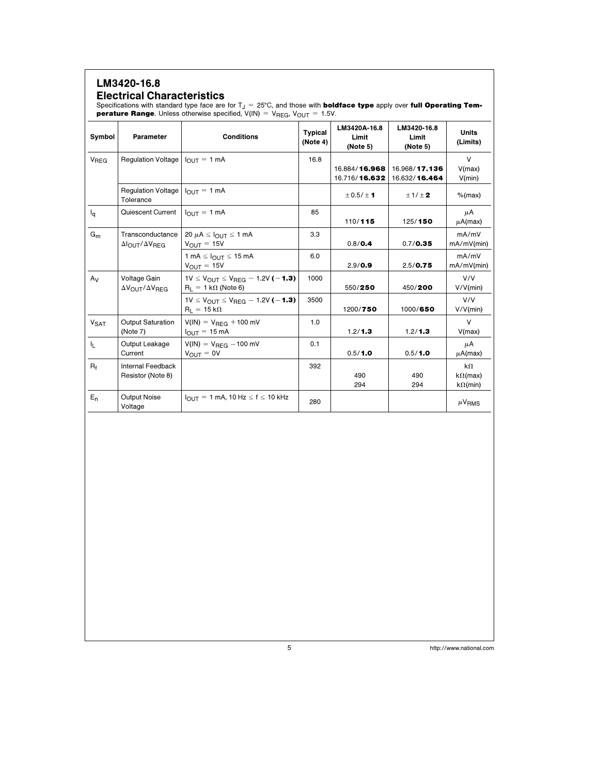## LM3420-16.8 Electrical Characteristics

Specifications with standard type face are for  $T_J = 25^{\circ}\text{C}$ , and those with **boldface type** apply over full Operating Tem**perature Range**. Unless otherwise specified,  $V(IN) = V_{REG}$ ,  $V_{OUT} = 1.5V$ .

| Symbol                 | Parameter                                            | <b>Conditions</b>                                                             | <b>Typical</b><br>(Note 4) | LM3420A-16.8<br>Limit<br>(Note 5) | LM3420-16.8<br>Limit<br>(Note 5) | <b>Units</b><br>(Limits)                        |
|------------------------|------------------------------------------------------|-------------------------------------------------------------------------------|----------------------------|-----------------------------------|----------------------------------|-------------------------------------------------|
| V <sub>REG</sub>       | Regulation Voltage $ I_{\text{OUT}} =1$ mA           |                                                                               | 16.8                       | 16.884/16.968                     | 16.968/17.136                    | $\vee$<br>V(max)                                |
|                        |                                                      |                                                                               |                            | 16.716/16.632                     | 16.632/16.464                    | V(min)                                          |
|                        | Regulation Voltage<br>Tolerance                      | $I_{OUIT} = 1$ mA                                                             |                            | $\pm$ 0.5/ $\pm$ 1                | $\pm$ 1/ $\pm$ 2                 | $%$ (max)                                       |
| $I_{\mathbf{q}}$       | Quiescent Current                                    | $I_{\Omega IIT}$ = 1 mA                                                       | 85                         | 110/115                           | 125/150                          | μA<br>$\mu$ A(max)                              |
| $G_m$                  | Transconductance<br>$\Delta$ OUT $\Delta$ VREG       | 20 $\mu$ A $\leq$ $I_{\text{OUT}} \leq 1$ mA<br>$V_{\text{OUT}} = 15V$        | 3.3                        | 0.8 / 0.4                         | 0.7/0.35                         | mA/mV<br>$mA/mV$ (min)                          |
|                        |                                                      | 1 mA $\leq$ $I_{OUT} \leq 15$ mA<br>$V_{\text{OUT}} = 15V$                    | 6.0                        | 2.9 / 0.9                         | 2.5/0.75                         | mA/mV<br>mA/mV(min)                             |
| $A_V$                  | Voltage Gain<br>ΔV <sub>OUT</sub> /ΔV <sub>REG</sub> | $1V \le V_{OUT} \le V_{REG} - 1.2V$ (-1.3)<br>$R_L = 1 k\Omega$ (Note 6)      | 1000                       | 550/250                           | 450/200                          | V/V<br>V/V(min)                                 |
|                        |                                                      | $1V \le V_{OUT} \le V_{REG} - 1.2V$ (-1.3)<br>$R_L = 15 k\Omega$              | 3500                       | 1200/750                          | 1000/650                         | V/V<br>V/V(min)                                 |
| <b>V<sub>SAT</sub></b> | <b>Output Saturation</b><br>(Note 7)                 | $V(1N) = V_{\text{REG}} + 100 \text{ mV}$<br>$I_{\text{OUT}} = 15 \text{ mA}$ | 1.0                        | 1.2/1.3                           | 1.2 / 1.3                        | $\vee$<br>V(max)                                |
| IL.                    | Output Leakage<br>Current                            | $V(1N) = V_{BFG} - 100$ mV<br>$V_{\text{OUT}} = 0V$                           | 0.1                        | 0.5/1.0                           | 0.5/1.0                          | μA<br>$\mu$ A(max)                              |
| $R_f$                  | <b>Internal Feedback</b><br>Resistor (Note 8)        |                                                                               | 392                        | 490<br>294                        | 490<br>294                       | $k\Omega$<br>$k\Omega$ (max)<br>$k\Omega$ (min) |
| $E_n$                  | <b>Output Noise</b><br>Voltage                       | $I_{\text{OUT}} = 1$ mA, 10 Hz $\leq f \leq 10$ kHz                           | 280                        |                                   |                                  | $\mu$ V <sub>RMS</sub>                          |
|                        |                                                      |                                                                               |                            |                                   |                                  |                                                 |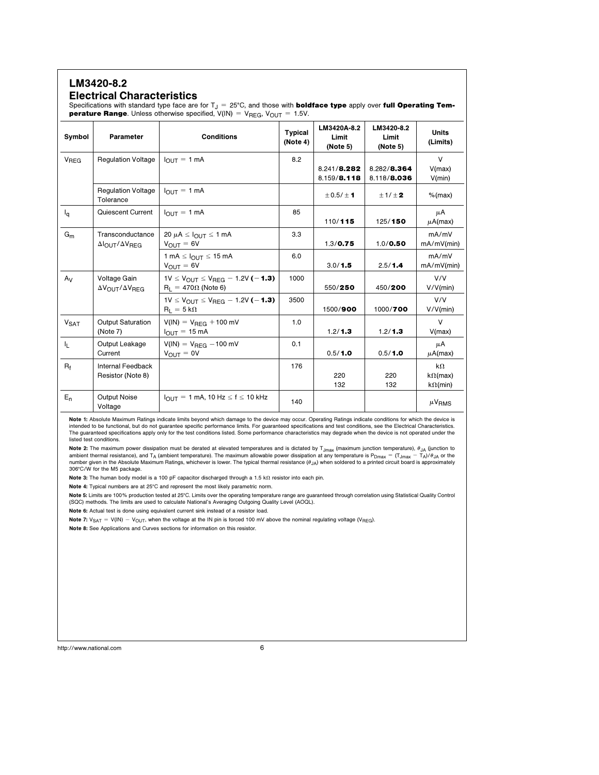## LM3420-8.2

#### Electrical Characteristics

Specifications with standard type face are for  $T_J = 25^{\circ}$ C, and those with **boldface type** apply over **full Operating Temperature Range**. Unless otherwise specified,  $V(IN) = V_{REG}$ ,  $V_{OUT} = 1.5V$ .

| Symbol                 | Parameter                                                     | <b>Conditions</b>                                                                                             | <b>Typical</b><br>(Note 4) | LM3420A-8.2<br>Limit<br>(Note 5) | LM3420-8.2<br>Limit<br>(Note 5) | <b>Units</b><br>(Limits)                        |
|------------------------|---------------------------------------------------------------|---------------------------------------------------------------------------------------------------------------|----------------------------|----------------------------------|---------------------------------|-------------------------------------------------|
| V <sub>REG</sub>       | <b>Regulation Voltage</b>                                     | $I_{\text{OUT}} = 1$ mA                                                                                       | 8.2                        | 8.241/8.282<br>8.159/8.118       | 8.282/8.364<br>8.118/8.036      | $\vee$<br>V(max)<br>V(min)                      |
|                        | <b>Regulation Voltage</b><br>Tolerance                        | $I_{\text{OUT}} = 1 \text{ mA}$                                                                               |                            | $\pm$ 0.5/ $\pm$ 1               | $\pm$ 1/ $\pm$ 2                | $%$ (max)                                       |
| $I_{\alpha}$           | Quiescent Current                                             | $I_{OUT} = 1$ mA                                                                                              | 85                         | 110/115                          | 125/150                         | μA<br>$\mu$ A(max)                              |
| $G_m$                  | Transconductance<br>$\Delta$ OUT $\Delta$ VREG                | 20 $\mu$ A $\leq$ $I_{\text{OUT}} \leq$ 1 mA<br>$V_{\text{OUT}} = 6V$                                         | 3.3                        | 1.3 / 0.75                       | 1.0 / 0.50                      | mA/mV<br>mA/mV(min)                             |
|                        |                                                               | 1 mA $\leq$ $I_{OUT} \leq 15$ mA<br>$V_{\text{OUT}} = 6V$                                                     | 6.0                        | 3.0/1.5                          | 2.5/1.4                         | mA/mV<br>$mA/mV$ (min)                          |
| $A_V$                  | Voltage Gain<br>$\Delta V_{\text{OUT}}/\Delta V_{\text{RFG}}$ | 1V $\leq$ V <sub>OUT</sub> $\leq$ V <sub>RFG</sub> $-$ 1.2V ( $-$ <b>1.3</b> )<br>$R_L = 470 \Omega$ (Note 6) | 1000                       | 550/250                          | 450/200                         | V/V<br>V/V(min)                                 |
|                        |                                                               | 1V $\leq$ V <sub>OUT</sub> $\leq$ V <sub>RFG</sub> $-$ 1.2V ( $-$ <b>1.3)</b><br>$R_1 = 5 k\Omega$            | 3500                       | 1500/900                         | 1000/700                        | V/V<br>V/V(min)                                 |
| <b>V<sub>SAT</sub></b> | <b>Output Saturation</b><br>(Note 7)                          | $V(1N) = V_{BFG} + 100$ mV<br>$I_{\text{OUT}} = 15 \text{ mA}$                                                | 1.0                        | 1.2/1.3                          | 1.2/1.3                         | $\vee$<br>V(max)                                |
| IL.                    | Output Leakage<br>Current                                     | $V(1N) = V_{\text{REG}} - 100 \text{ mV}$<br>$V_{OUIT} = 0V$                                                  | 0.1                        | 0.5/1.0                          | 0.5/1.0                         | μA<br>$\mu$ A(max)                              |
| $R_f$                  | Internal Feedback<br>Resistor (Note 8)                        |                                                                                                               | 176                        | 220<br>132                       | 220<br>132                      | $k\Omega$<br>$k\Omega$ (max)<br>$k\Omega$ (min) |
| $E_n$                  | <b>Output Noise</b><br>Voltage                                | $I_{\text{OUT}} = 1$ mA, 10 Hz $\leq f \leq 10$ kHz                                                           | 140                        |                                  |                                 | $\mu$ V <sub>RMS</sub>                          |

Note 1: Absolute Maximum Ratings indicate limits beyond which damage to the device may occur. Operating Ratings indicate conditions for which the device is intended to be functional, but do not guarantee specific performance limits. For guaranteed specifications and test conditions, see the Electrical Characteristics. The guaranteed specifications apply only for the test conditions listed. Some performance characteristics may degrade when the device is not operated under the listed test conditions.

**Note 2:** The maximum power dissipation must be derated at elevated temperatures and is dictated by T<sub>Jmax</sub> (maximum junction temperature), θ<sub>JA</sub> (junction to<br>ambient thermal resistance), and T<sub>A</sub> (ambient temperature). T 306°C/W for the M5 package.

Note 3: The human body model is a 100 pF capacitor discharged through a 1.5 k $\Omega$  resistor into each pin.

Note 4: Typical numbers are at 25°C and represent the most likely parametric norm.

Note 5: Limits are 100% production tested at 25°C. Limits over the operating temperature range are guaranteed through correlation using Statistical Quality Control (SQC) methods. The limits are used to calculate National's Averaging Outgoing Quality Level (AOQL).

Note 6: Actual test is done using equivalent current sink instead of a resistor load.

Note 7:  $V_{\text{SAT}} = V(N) - V_{\text{OUT}}$ , when the voltage at the IN pin is forced 100 mV above the nominal regulating voltage (V<sub>REG</sub>).

Note 8: See Applications and Curves sections for information on this resistor.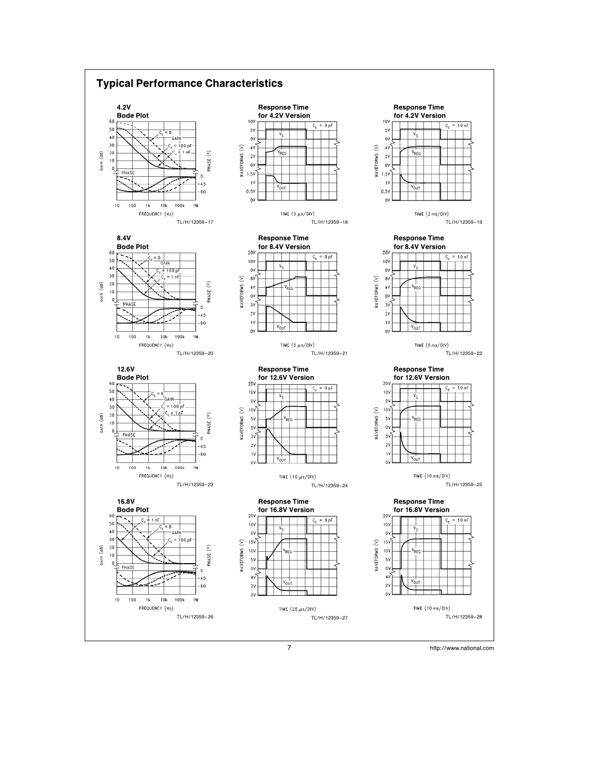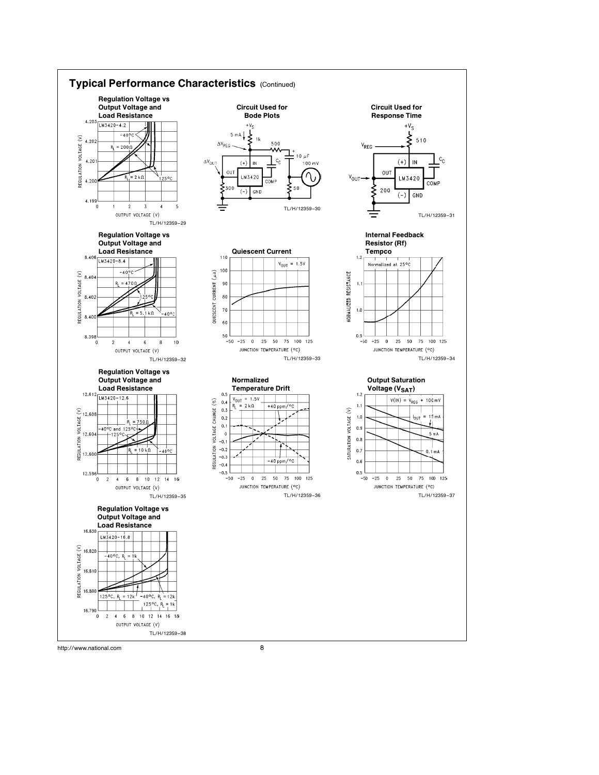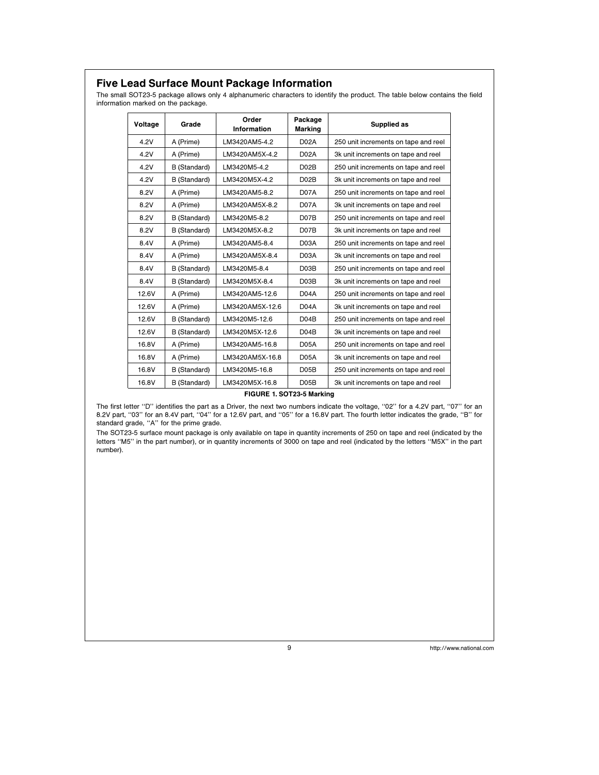## Five Lead Surface Mount Package Information

The small SOT23-5 package allows only 4 alphanumeric characters to identify the product. The table below contains the field information marked on the package.

| Voltage | Grade        | Order<br><b>Information</b> | Package<br><b>Marking</b> | Supplied as                          |
|---------|--------------|-----------------------------|---------------------------|--------------------------------------|
| 4.2V    | A (Prime)    | LM3420AM5-4.2               | D <sub>02</sub> A         | 250 unit increments on tape and reel |
| 4.2V    | A (Prime)    | LM3420AM5X-4.2              | <b>D02A</b>               | 3k unit increments on tape and reel  |
| 4.2V    | B (Standard) | LM3420M5-4.2                | D <sub>02</sub> B         | 250 unit increments on tape and reel |
| 4.2V    | B (Standard) | LM3420M5X-4.2               | D <sub>02</sub> B         | 3k unit increments on tape and reel  |
| 8.2V    | A (Prime)    | LM3420AM5-8.2               | D <sub>07</sub> A         | 250 unit increments on tape and reel |
| 8.2V    | A (Prime)    | LM3420AM5X-8.2              | D07A                      | 3k unit increments on tape and reel  |
| 8.2V    | B (Standard) | LM3420M5-8.2                | D <sub>07</sub> B         | 250 unit increments on tape and reel |
| 8.2V    | B (Standard) | LM3420M5X-8.2               | D <sub>07</sub> B         | 3k unit increments on tape and reel  |
| 8.4V    | A (Prime)    | LM3420AM5-8.4               | D03A                      | 250 unit increments on tape and reel |
| 8.4V    | A (Prime)    | LM3420AM5X-8.4              | D03A                      | 3k unit increments on tape and reel  |
| 8.4V    | B (Standard) | LM3420M5-8.4                | D03B                      | 250 unit increments on tape and reel |
| 8.4V    | B (Standard) | LM3420M5X-8.4               | D03B                      | 3k unit increments on tape and reel  |
| 12.6V   | A (Prime)    | LM3420AM5-12.6              | D04A                      | 250 unit increments on tape and reel |
| 12.6V   | A (Prime)    | LM3420AM5X-12.6             | D04A                      | 3k unit increments on tape and reel  |
| 12.6V   | B (Standard) | LM3420M5-12.6               | D04B                      | 250 unit increments on tape and reel |
| 12.6V   | B (Standard) | LM3420M5X-12.6              | D04B                      | 3k unit increments on tape and reel  |
| 16.8V   | A (Prime)    | LM3420AM5-16.8              | <b>D05A</b>               | 250 unit increments on tape and reel |
| 16.8V   | A (Prime)    | LM3420AM5X-16.8             | <b>D05A</b>               | 3k unit increments on tape and reel  |
| 16.8V   | B (Standard) | LM3420M5-16.8               | D05B                      | 250 unit increments on tape and reel |
| 16.8V   | B (Standard) | LM3420M5X-16.8              | D <sub>05</sub> B         | 3k unit increments on tape and reel  |

#### FIGURE 1. SOT23-5 Marking

The first letter ''D'' identifies the part as a Driver, the next two numbers indicate the voltage, ''02'' for a 4.2V part, ''07'' for an 8.2V part, ''03'' for an 8.4V part, ''04'' for a 12.6V part, and ''05'' for a 16.8V part. The fourth letter indicates the grade, ''B'' for standard grade, ''A'' for the prime grade.

The SOT23-5 surface mount package is only available on tape in quantity increments of 250 on tape and reel (indicated by the letters ''M5'' in the part number), or in quantity increments of 3000 on tape and reel (indicated by the letters ''M5X'' in the part number).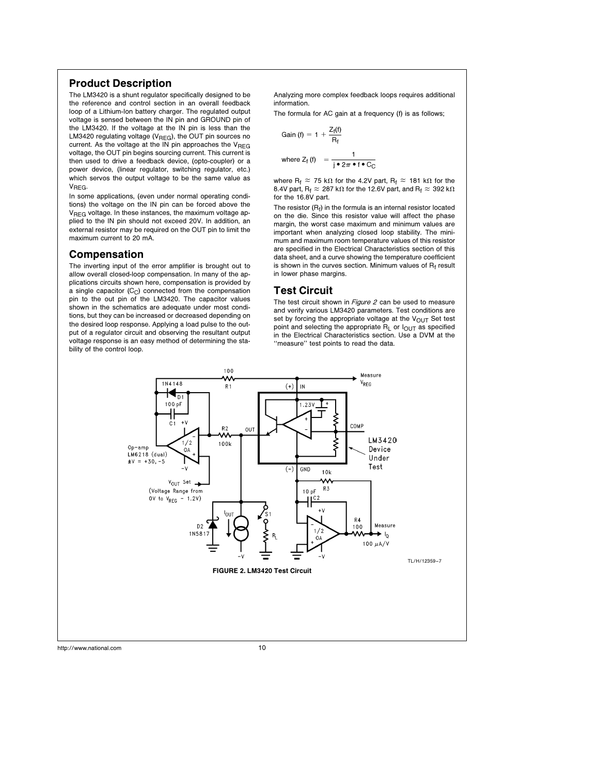## Product Description

The LM3420 is a shunt regulator specifically designed to be the reference and control section in an overall feedback loop of a Lithium-Ion battery charger. The regulated output voltage is sensed between the IN pin and GROUND pin of the LM3420. If the voltage at the IN pin is less than the LM3420 regulating voltage ( $V<sub>REG</sub>$ ), the OUT pin sources no current. As the voltage at the IN pin approaches the  $V_{\text{REG}}$ voltage, the OUT pin begins sourcing current. This current is then used to drive a feedback device, (opto-coupler) or a power device, (linear regulator, switching regulator, etc.) which servos the output voltage to be the same value as  $V<sub>BFG</sub>$ 

In some applications, (even under normal operating conditions) the voltage on the IN pin can be forced above the V<sub>REG</sub> voltage. In these instances, the maximum voltage applied to the IN pin should not exceed 20V. In addition, an external resistor may be required on the OUT pin to limit the maximum current to 20 mA.

#### Compensation

The inverting input of the error amplifier is brought out to allow overall closed-loop compensation. In many of the applications circuits shown here, compensation is provided by a single capacitor  $(C_C)$  connected from the compensation pin to the out pin of the LM3420. The capacitor values shown in the schematics are adequate under most conditions, but they can be increased or decreased depending on the desired loop response. Applying a load pulse to the output of a regulator circuit and observing the resultant output voltage response is an easy method of determining the stability of the control loop.

Analyzing more complex feedback loops requires additional information.

The formula for AC gain at a frequency (f) is as follows;

Gain (f) = 1 + 
$$
\frac{Z_f(f)}{R_f}
$$
  
where  $Z_f(f) = \frac{1}{e^2 \pi \cdot f \cdot C_C}$ 

where R<sub>f</sub>  $\approx$  75 k $\Omega$  for the 4.2V part, R<sub>f</sub>  $\approx$  181 k $\Omega$  for the 8.4V part, R<sub>f</sub>  $\approx 287$  k $\Omega$  for the 12.6V part, and R<sub>f</sub>  $\approx 392$  k $\Omega$ for the 16.8V part.

The resistor  $(R_f)$  in the formula is an internal resistor located on the die. Since this resistor value will affect the phase margin, the worst case maximum and minimum values are important when analyzing closed loop stability. The minimum and maximum room temperature values of this resistor are specified in the Electrical Characteristics section of this data sheet, and a curve showing the temperature coefficient is shown in the curves section. Minimum values of  $R_f$  result in lower phase margins.

#### Test Circuit

The test circuit shown in Figure 2 can be used to measure and verify various LM3420 parameters. Test conditions are set by forcing the appropriate voltage at the  $V_{\text{OUT}}$  Set test point and selecting the appropriate  $R_L$  or  $I_{\text{OUT}}$  as specified in the Electrical Characteristics section. Use a DVM at the ''measure'' test points to read the data.

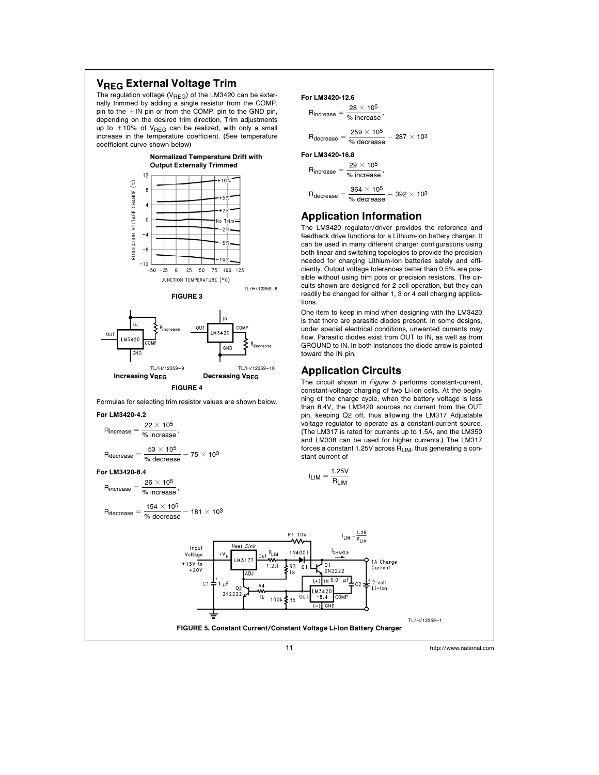## **VREG External Voltage Trim**

The regulation voltage ( $V_{\text{REG}}$ ) of the LM3420 can be externally trimmed by adding a single resistor from the COMP. pin to the  $+$  IN pin or from the COMP. pin to the GND pin, depending on the desired trim direction. Trim adjustments up to  $\pm$  10% of V<sub>REG</sub> can be realized, with only a small increase in the temperature coefficient. (See temperature coefficient curve shown below)





Formulas for selecting trim resistor values are shown below.

#### For LM3420-4.2

$$
R_{increase} = \frac{22 \times 10^5}{\% increase},
$$

$$
R_{decrease} = \frac{53 \times 10^5}{\text{\% decrease}} - 75 \times 10^3
$$

For LM3420-8.4

$$
R_{increase} = \frac{26 \times 10^5}{\% increase}
$$

$$
R_{\text{decrease}} = \frac{154 \times 10^5}{\% \text{ decrease}} - 181 \times 10^3
$$

#### For LM3420-12.6

```
R_{increase} = \frac{28 \times 10^5}{\alpha_{c} \text{ increase}}% increase
R_{\text{decrease}} = \frac{259 \times 10^5}{\pi}\frac{233 \times 10^{10}}{6} - 287 \times 10<sup>3</sup>
```
#### For LM3420-16.8

```
R_{increase} = \frac{29 \times 10^5}{100}% increase
R_{\text{decrease}} = \frac{364 \times 10^5}{\sigma_6}\frac{304 \times 10^{5}}{6000} - 392 \times 10<sup>3</sup>
```
## Application Information

The LM3420 regulator/driver provides the reference and feedback drive functions for a Lithium-Ion battery charger. It can be used in many different charger configurations using both linear and switching topologies to provide the precision needed for charging Lithium-Ion batteries safely and efficiently. Output voltage tolerances better than 0.5% are possible without using trim pots or precision resistors. The circuits shown are designed for 2 cell operation, but they can readily be changed for either 1, 3 or 4 cell charging applications.

One item to keep in mind when designing with the LM3420 is that there are parasitic diodes present. In some designs, under special electrical conditions, unwanted currents may flow. Parasitic diodes exist from OUT to IN, as well as from GROUND to IN. In both instances the diode arrow is pointed toward the IN pin.

#### Application Circuits

The circuit shown in Figure 5 performs constant-current, constant-voltage charging of two Li-Ion cells. At the beginning of the charge cycle, when the battery voltage is less than 8.4V, the LM3420 sources no current from the OUT pin, keeping Q2 off, thus allowing the LM317 Adjustable voltage regulator to operate as a constant-current source. (The LM317 is rated for currents up to 1.5A, and the LM350 and LM338 can be used for higher currents.) The LM317 forces a constant 1.25V across  $R_{LIM}$ , thus generating a constant current of

$$
I_{LIM} = \frac{1.25V}{R_{LIM}}
$$

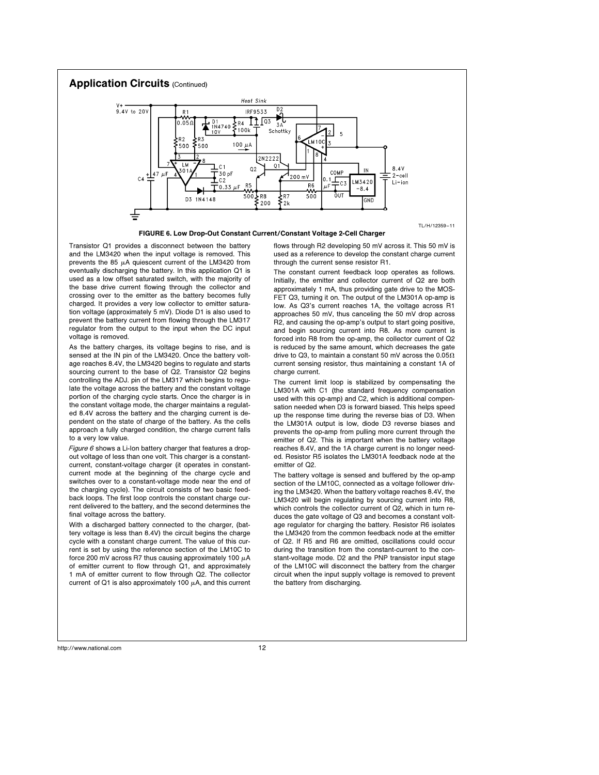

FIGURE 6. Low Drop-Out Constant Current/Constant Voltage 2-Cell Charger

Transistor Q1 provides a disconnect between the battery and the LM3420 when the input voltage is removed. This prevents the 85  $\mu$ A quiescent current of the LM3420 from eventually discharging the battery. In this application Q1 is used as a low offset saturated switch, with the majority of the base drive current flowing through the collector and crossing over to the emitter as the battery becomes fully charged. It provides a very low collector to emitter saturation voltage (approximately 5 mV). Diode D1 is also used to prevent the battery current from flowing through the LM317 regulator from the output to the input when the DC input voltage is removed.

As the battery charges, its voltage begins to rise, and is sensed at the IN pin of the LM3420. Once the battery voltage reaches 8.4V, the LM3420 begins to regulate and starts sourcing current to the base of Q2. Transistor Q2 begins controlling the ADJ. pin of the LM317 which begins to regulate the voltage across the battery and the constant voltage portion of the charging cycle starts. Once the charger is in the constant voltage mode, the charger maintains a regulated 8.4V across the battery and the charging current is dependent on the state of charge of the battery. As the cells approach a fully charged condition, the charge current falls to a very low value.

Figure 6 shows a Li-Ion battery charger that features a dropout voltage of less than one volt. This charger is a constantcurrent, constant-voltage charger (it operates in constantcurrent mode at the beginning of the charge cycle and switches over to a constant-voltage mode near the end of the charging cycle). The circuit consists of two basic feedback loops. The first loop controls the constant charge current delivered to the battery, and the second determines the final voltage across the battery.

With a discharged battery connected to the charger, (battery voltage is less than 8.4V) the circuit begins the charge cycle with a constant charge current. The value of this current is set by using the reference section of the LM10C to force 200 mV across R7 thus causing approximately 100  $\mu$ A of emitter current to flow through Q1, and approximately 1 mA of emitter current to flow through Q2. The collector current of Q1 is also approximately 100  $\mu$ A, and this current flows through R2 developing 50 mV across it. This 50 mV is used as a reference to develop the constant charge current through the current sense resistor R1.

The constant current feedback loop operates as follows. Initially, the emitter and collector current of Q2 are both approximately 1 mA, thus providing gate drive to the MOS-FET Q3, turning it on. The output of the LM301A op-amp is low. As Q3's current reaches 1A, the voltage across R1 approaches 50 mV, thus canceling the 50 mV drop across R2, and causing the op-amp's output to start going positive, and begin sourcing current into R8. As more current is forced into R8 from the op-amp, the collector current of Q2 is reduced by the same amount, which decreases the gate drive to Q3, to maintain a constant 50 mV across the  $0.05\Omega$ current sensing resistor, thus maintaining a constant 1A of charge current.

The current limit loop is stabilized by compensating the LM301A with C1 (the standard frequency compensation used with this op-amp) and C2, which is additional compensation needed when D3 is forward biased. This helps speed up the response time during the reverse bias of D3. When the LM301A output is low, diode D3 reverse biases and prevents the op-amp from pulling more current through the emitter of Q2. This is important when the battery voltage reaches 8.4V, and the 1A charge current is no longer needed. Resistor R5 isolates the LM301A feedback node at the emitter of Q2.

The battery voltage is sensed and buffered by the op-amp section of the LM10C, connected as a voltage follower driving the LM3420. When the battery voltage reaches 8.4V, the LM3420 will begin regulating by sourcing current into R8, which controls the collector current of Q2, which in turn reduces the gate voltage of Q3 and becomes a constant voltage regulator for charging the battery. Resistor R6 isolates the LM3420 from the common feedback node at the emitter of Q2. If R5 and R6 are omitted, oscillations could occur during the transition from the constant-current to the constant-voltage mode. D2 and the PNP transistor input stage of the LM10C will disconnect the battery from the charger circuit when the input supply voltage is removed to prevent the battery from discharging.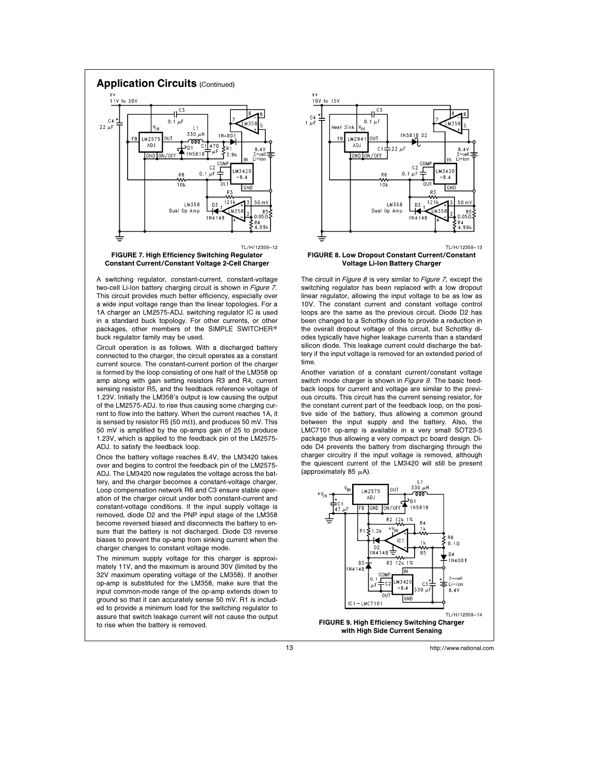

Constant Current/Constant Voltage 2-Cell Charger

A switching regulator, constant-current, constant-voltage two-cell Li-Ion battery charging circuit is shown in Figure 7. This circuit provides much better efficiency, especially over a wide input voltage range than the linear topologies. For a 1A charger an LM2575-ADJ. switching regulator IC is used in a standard buck topology. For other currents, or other packages, other members of the SIMPLE SWITCHER® buck regulator family may be used.

Circuit operation is as follows. With a discharged battery connected to the charger, the circuit operates as a constant current source. The constant-current portion of the charger is formed by the loop consisting of one half of the LM358 op amp along with gain setting resistors R3 and R4, current sensing resistor R5, and the feedback reference voltage of 1.23V. Initially the LM358's output is low causing the output of the LM2575-ADJ. to rise thus causing some charging current to flow into the battery. When the current reaches 1A, it is sensed by resistor R5 (50 m $\Omega$ ), and produces 50 mV. This 50 mV is amplified by the op-amps gain of 25 to produce 1.23V, which is applied to the feedback pin of the LM2575- ADJ. to satisfy the feedback loop.

Once the battery voltage reaches 8.4V, the LM3420 takes over and begins to control the feedback pin of the LM2575- ADJ. The LM3420 now regulates the voltage across the battery, and the charger becomes a constant-voltage charger. Loop compensation network R6 and C3 ensure stable operation of the charger circuit under both constant-current and constant-voltage conditions. If the input supply voltage is removed, diode D2 and the PNP input stage of the LM358 become reversed biased and disconnects the battery to ensure that the battery is not discharged. Diode D3 reverse biases to prevent the op-amp from sinking current when the charger changes to constant voltage mode.

The minimum supply voltage for this charger is approximately 11V, and the maximum is around 30V (limited by the 32V maximum operating voltage of the LM358). If another op-amp is substituted for the LM358, make sure that the input common-mode range of the op-amp extends down to ground so that it can accurately sense 50 mV. R1 is included to provide a minimum load for the switching regulator to assure that switch leakage current will not cause the output to rise when the battery is removed.



FIGURE 8. Low Dropout Constant Current/Constant Voltage Li-Ion Battery Charger

The circuit in *Figure 8* is very similar to *Figure 7*, except the switching regulator has been replaced with a low dropout linear regulator, allowing the input voltage to be as low as 10V. The constant current and constant voltage control loops are the same as the previous circuit. Diode D2 has been changed to a Schottky diode to provide a reduction in the overall dropout voltage of this circuit, but Schottky diodes typically have higher leakage currents than a standard silicon diode. This leakage current could discharge the battery if the input voltage is removed for an extended period of time.

Another variation of a constant current/constant voltage switch mode charger is shown in *Figure 9*. The basic feedback loops for current and voltage are similar to the previous circuits. This circuit has the current sensing resistor, for the constant current part of the feedback loop, on the positive side of the battery, thus allowing a common ground between the input supply and the battery. Also, the LMC7101 op-amp is available in a very small SOT23-5 package thus allowing a very compact pc board design. Diode D4 prevents the battery from discharging through the charger circuitry if the input voltage is removed, although the quiescent current of the LM3420 will still be present (approximately 85  $\mu$ A).

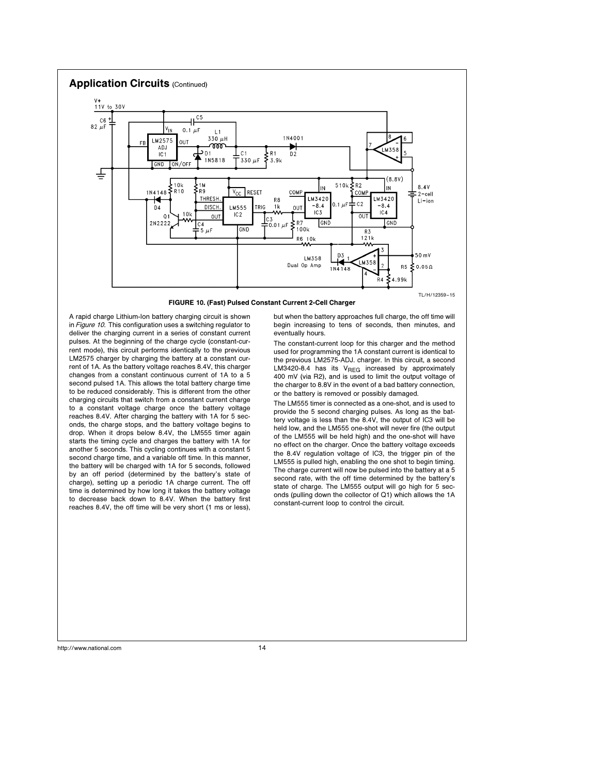

FIGURE 10. (Fast) Pulsed Constant Current 2-Cell Charger

A rapid charge Lithium-Ion battery charging circuit is shown in Figure 10. This configuration uses a switching regulator to deliver the charging current in a series of constant current pulses. At the beginning of the charge cycle (constant-current mode), this circuit performs identically to the previous LM2575 charger by charging the battery at a constant current of 1A. As the battery voltage reaches 8.4V, this charger changes from a constant continuous current of 1A to a 5 second pulsed 1A. This allows the total battery charge time to be reduced considerably. This is different from the other charging circuits that switch from a constant current charge to a constant voltage charge once the battery voltage reaches 8.4V. After charging the battery with 1A for 5 seconds, the charge stops, and the battery voltage begins to drop. When it drops below 8.4V, the LM555 timer again starts the timing cycle and charges the battery with 1A for another 5 seconds. This cycling continues with a constant 5 second charge time, and a variable off time. In this manner, the battery will be charged with 1A for 5 seconds, followed by an off period (determined by the battery's state of charge), setting up a periodic 1A charge current. The off time is determined by how long it takes the battery voltage to decrease back down to 8.4V. When the battery first reaches 8.4V, the off time will be very short (1 ms or less),

but when the battery approaches full charge, the off time will begin increasing to tens of seconds, then minutes, and eventually hours.

The constant-current loop for this charger and the method used for programming the 1A constant current is identical to the previous LM2575-ADJ. charger. In this circuit, a second LM3420-8.4 has its  $V_{\text{REG}}$  increased by approximately 400 mV (via R2), and is used to limit the output voltage of the charger to 8.8V in the event of a bad battery connection, or the battery is removed or possibly damaged.

The LM555 timer is connected as a one-shot, and is used to provide the 5 second charging pulses. As long as the battery voltage is less than the 8.4V, the output of IC3 will be held low, and the LM555 one-shot will never fire (the output of the LM555 will be held high) and the one-shot will have no effect on the charger. Once the battery voltage exceeds the 8.4V regulation voltage of IC3, the trigger pin of the LM555 is pulled high, enabling the one shot to begin timing. The charge current will now be pulsed into the battery at a 5 second rate, with the off time determined by the battery's state of charge. The LM555 output will go high for 5 seconds (pulling down the collector of Q1) which allows the 1A constant-current loop to control the circuit.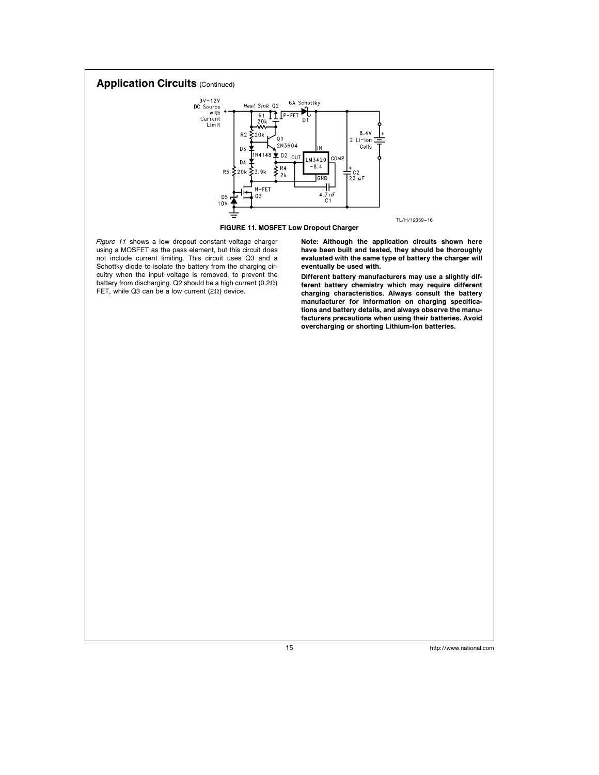

FIGURE 11. MOSFET Low Dropout Charger

Figure 11 shows a low dropout constant voltage charger using a MOSFET as the pass element, but this circuit does not include current limiting. This circuit uses Q3 and a Schottky diode to isolate the battery from the charging circuitry when the input voltage is removed, to prevent the battery from discharging. Q2 should be a high current (0.2 $\Omega$ ) FET, while Q3 can be a low current (2 $\Omega$ ) device.

Note: Although the application circuits shown here have been built and tested, they should be thoroughly evaluated with the same type of battery the charger will eventually be used with.

Different battery manufacturers may use a slightly different battery chemistry which may require different charging characteristics. Always consult the battery manufacturer for information on charging specifications and battery details, and always observe the manufacturers precautions when using their batteries. Avoid overcharging or shorting Lithium-Ion batteries.